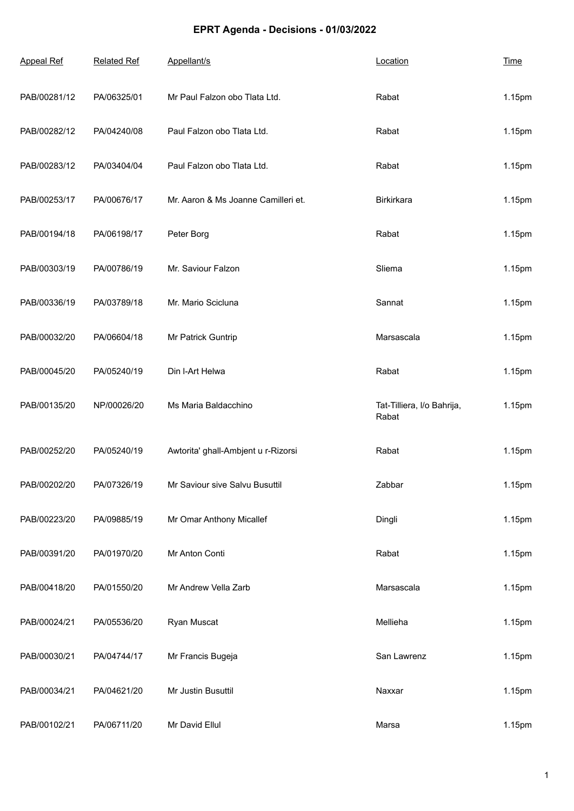## **EPRT Agenda - Decisions - 01/03/2022**

| <b>Appeal Ref</b> | <b>Related Ref</b> | Appellant/s                         | Location                            | <b>Time</b> |
|-------------------|--------------------|-------------------------------------|-------------------------------------|-------------|
| PAB/00281/12      | PA/06325/01        | Mr Paul Falzon obo Tlata Ltd.       | Rabat                               | 1.15pm      |
| PAB/00282/12      | PA/04240/08        | Paul Falzon obo Tlata Ltd.          | Rabat                               | 1.15pm      |
| PAB/00283/12      | PA/03404/04        | Paul Falzon obo Tlata Ltd.          | Rabat                               | 1.15pm      |
| PAB/00253/17      | PA/00676/17        | Mr. Aaron & Ms Joanne Camilleri et. | Birkirkara                          | 1.15pm      |
| PAB/00194/18      | PA/06198/17        | Peter Borg                          | Rabat                               | 1.15pm      |
| PAB/00303/19      | PA/00786/19        | Mr. Saviour Falzon                  | Sliema                              | 1.15pm      |
| PAB/00336/19      | PA/03789/18        | Mr. Mario Scicluna                  | Sannat                              | 1.15pm      |
| PAB/00032/20      | PA/06604/18        | Mr Patrick Guntrip                  | Marsascala                          | 1.15pm      |
| PAB/00045/20      | PA/05240/19        | Din I-Art Helwa                     | Rabat                               | 1.15pm      |
| PAB/00135/20      | NP/00026/20        | Ms Maria Baldacchino                | Tat-Tilliera, I/o Bahrija,<br>Rabat | 1.15pm      |
| PAB/00252/20      | PA/05240/19        | Awtorita' ghall-Ambjent u r-Rizorsi | Rabat                               | 1.15pm      |
| PAB/00202/20      | PA/07326/19        | Mr Saviour sive Salvu Busuttil      | Zabbar                              | 1.15pm      |
| PAB/00223/20      | PA/09885/19        | Mr Omar Anthony Micallef            | Dingli                              | 1.15pm      |
| PAB/00391/20      | PA/01970/20        | Mr Anton Conti                      | Rabat                               | 1.15pm      |
| PAB/00418/20      | PA/01550/20        | Mr Andrew Vella Zarb                | Marsascala                          | 1.15pm      |
| PAB/00024/21      | PA/05536/20        | Ryan Muscat                         | Mellieha                            | 1.15pm      |
| PAB/00030/21      | PA/04744/17        | Mr Francis Bugeja                   | San Lawrenz                         | 1.15pm      |
| PAB/00034/21      | PA/04621/20        | Mr Justin Busuttil                  | Naxxar                              | 1.15pm      |
| PAB/00102/21      | PA/06711/20        | Mr David Ellul                      | Marsa                               | 1.15pm      |